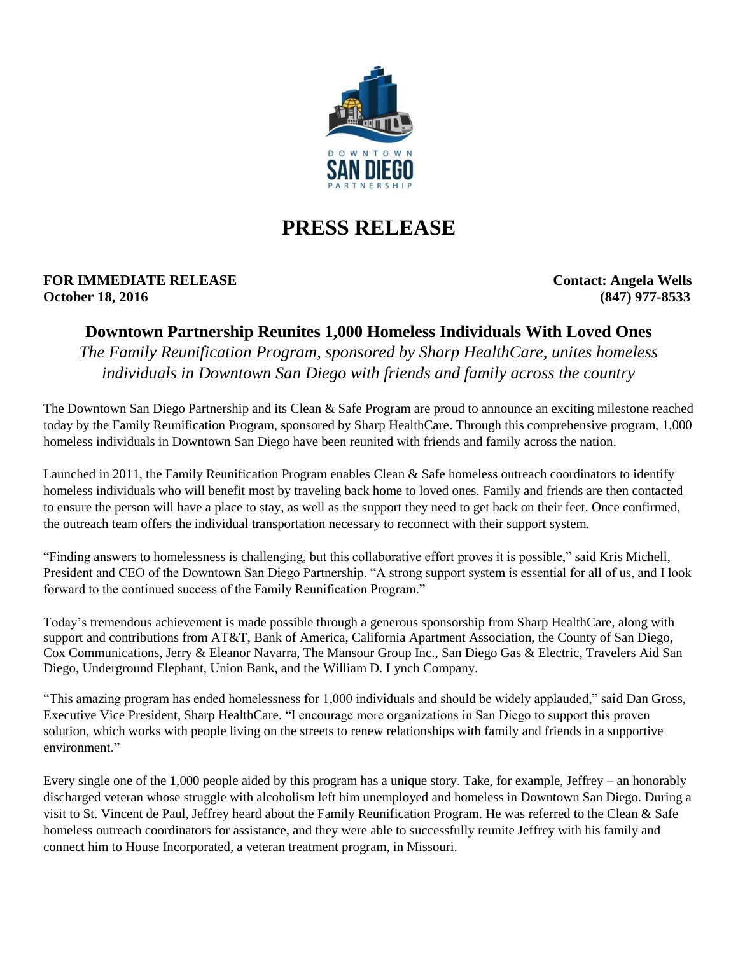

## **PRESS RELEASE**

## **FOR IMMEDIATE RELEASE CONSIDERING CONTACT CONTACT CONTACT:** Angela Wells **October 18, 2016 (847) 977-8533**

## **Downtown Partnership Reunites 1,000 Homeless Individuals With Loved Ones**

*The Family Reunification Program, sponsored by Sharp HealthCare, unites homeless individuals in Downtown San Diego with friends and family across the country*

The Downtown San Diego Partnership and its Clean & Safe Program are proud to announce an exciting milestone reached today by the Family Reunification Program, sponsored by Sharp HealthCare. Through this comprehensive program, 1,000 homeless individuals in Downtown San Diego have been reunited with friends and family across the nation.

Launched in 2011, the Family Reunification Program enables Clean & Safe homeless outreach coordinators to identify homeless individuals who will benefit most by traveling back home to loved ones. Family and friends are then contacted to ensure the person will have a place to stay, as well as the support they need to get back on their feet. Once confirmed, the outreach team offers the individual transportation necessary to reconnect with their support system.

"Finding answers to homelessness is challenging, but this collaborative effort proves it is possible," said Kris Michell, President and CEO of the Downtown San Diego Partnership. "A strong support system is essential for all of us, and I look forward to the continued success of the Family Reunification Program."

Today's tremendous achievement is made possible through a generous sponsorship from Sharp HealthCare, along with support and contributions from AT&T, Bank of America, California Apartment Association, the County of San Diego, Cox Communications, Jerry & Eleanor Navarra, The Mansour Group Inc., San Diego Gas & Electric, Travelers Aid San Diego, Underground Elephant, Union Bank, and the William D. Lynch Company.

"This amazing program has ended homelessness for 1,000 individuals and should be widely applauded," said Dan Gross, Executive Vice President, Sharp HealthCare. "I encourage more organizations in San Diego to support this proven solution, which works with people living on the streets to renew relationships with family and friends in a supportive environment."

Every single one of the 1,000 people aided by this program has a unique story. Take, for example, Jeffrey – an honorably discharged veteran whose struggle with alcoholism left him unemployed and homeless in Downtown San Diego. During a visit to St. Vincent de Paul, Jeffrey heard about the Family Reunification Program. He was referred to the Clean & Safe homeless outreach coordinators for assistance, and they were able to successfully reunite Jeffrey with his family and connect him to House Incorporated, a veteran treatment program, in Missouri.